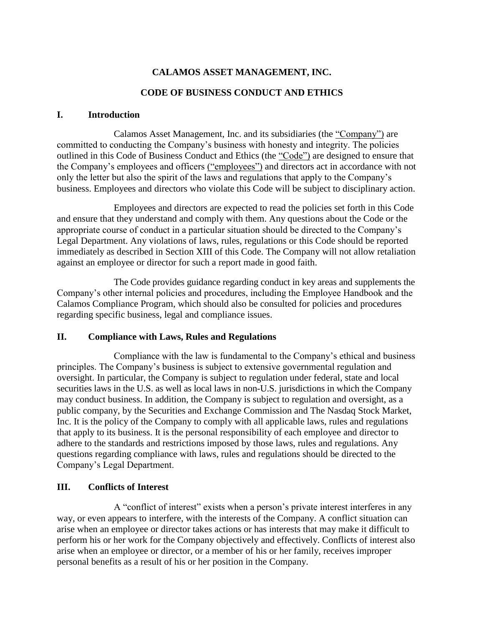#### **CALAMOS ASSET MANAGEMENT, INC.**

#### **CODE OF BUSINESS CONDUCT AND ETHICS**

#### **I. Introduction**

Calamos Asset Management, Inc. and its subsidiaries (the "Company") are committed to conducting the Company's business with honesty and integrity. The policies outlined in this Code of Business Conduct and Ethics (the "Code") are designed to ensure that the Company's employees and officers ("employees") and directors act in accordance with not only the letter but also the spirit of the laws and regulations that apply to the Company's business. Employees and directors who violate this Code will be subject to disciplinary action.

Employees and directors are expected to read the policies set forth in this Code and ensure that they understand and comply with them. Any questions about the Code or the appropriate course of conduct in a particular situation should be directed to the Company's Legal Department. Any violations of laws, rules, regulations or this Code should be reported immediately as described in Section XIII of this Code. The Company will not allow retaliation against an employee or director for such a report made in good faith.

The Code provides guidance regarding conduct in key areas and supplements the Company's other internal policies and procedures, including the Employee Handbook and the Calamos Compliance Program, which should also be consulted for policies and procedures regarding specific business, legal and compliance issues.

#### **II. Compliance with Laws, Rules and Regulations**

Compliance with the law is fundamental to the Company's ethical and business principles. The Company's business is subject to extensive governmental regulation and oversight. In particular, the Company is subject to regulation under federal, state and local securities laws in the U.S. as well as local laws in non-U.S. jurisdictions in which the Company may conduct business. In addition, the Company is subject to regulation and oversight, as a public company, by the Securities and Exchange Commission and The Nasdaq Stock Market, Inc. It is the policy of the Company to comply with all applicable laws, rules and regulations that apply to its business. It is the personal responsibility of each employee and director to adhere to the standards and restrictions imposed by those laws, rules and regulations. Any questions regarding compliance with laws, rules and regulations should be directed to the Company's Legal Department.

## **III. Conflicts of Interest**

A "conflict of interest" exists when a person's private interest interferes in any way, or even appears to interfere, with the interests of the Company. A conflict situation can arise when an employee or director takes actions or has interests that may make it difficult to perform his or her work for the Company objectively and effectively. Conflicts of interest also arise when an employee or director, or a member of his or her family, receives improper personal benefits as a result of his or her position in the Company.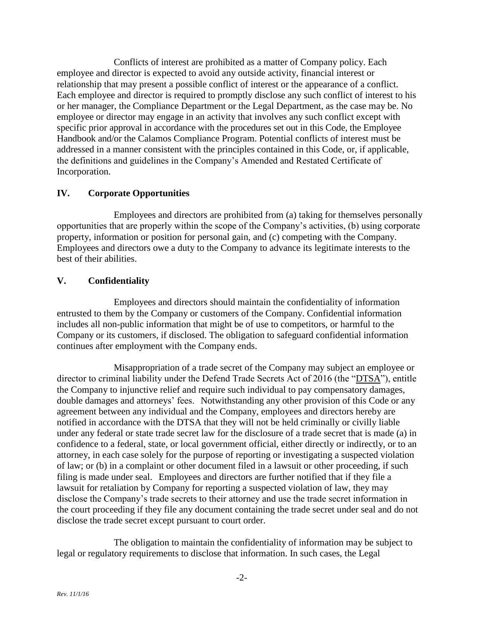Conflicts of interest are prohibited as a matter of Company policy. Each employee and director is expected to avoid any outside activity, financial interest or relationship that may present a possible conflict of interest or the appearance of a conflict. Each employee and director is required to promptly disclose any such conflict of interest to his or her manager, the Compliance Department or the Legal Department, as the case may be. No employee or director may engage in an activity that involves any such conflict except with specific prior approval in accordance with the procedures set out in this Code, the Employee Handbook and/or the Calamos Compliance Program. Potential conflicts of interest must be addressed in a manner consistent with the principles contained in this Code, or, if applicable, the definitions and guidelines in the Company's Amended and Restated Certificate of Incorporation.

## **IV. Corporate Opportunities**

Employees and directors are prohibited from (a) taking for themselves personally opportunities that are properly within the scope of the Company's activities, (b) using corporate property, information or position for personal gain, and (c) competing with the Company. Employees and directors owe a duty to the Company to advance its legitimate interests to the best of their abilities.

## **V. Confidentiality**

Employees and directors should maintain the confidentiality of information entrusted to them by the Company or customers of the Company. Confidential information includes all non-public information that might be of use to competitors, or harmful to the Company or its customers, if disclosed. The obligation to safeguard confidential information continues after employment with the Company ends.

Misappropriation of a trade secret of the Company may subject an employee or director to criminal liability under the Defend Trade Secrets Act of 2016 (the "DTSA"), entitle the Company to injunctive relief and require such individual to pay compensatory damages, double damages and attorneys' fees. Notwithstanding any other provision of this Code or any agreement between any individual and the Company, employees and directors hereby are notified in accordance with the DTSA that they will not be held criminally or civilly liable under any federal or state trade secret law for the disclosure of a trade secret that is made (a) in confidence to a federal, state, or local government official, either directly or indirectly, or to an attorney, in each case solely for the purpose of reporting or investigating a suspected violation of law; or (b) in a complaint or other document filed in a lawsuit or other proceeding, if such filing is made under seal. Employees and directors are further notified that if they file a lawsuit for retaliation by Company for reporting a suspected violation of law, they may disclose the Company's trade secrets to their attorney and use the trade secret information in the court proceeding if they file any document containing the trade secret under seal and do not disclose the trade secret except pursuant to court order.

The obligation to maintain the confidentiality of information may be subject to legal or regulatory requirements to disclose that information. In such cases, the Legal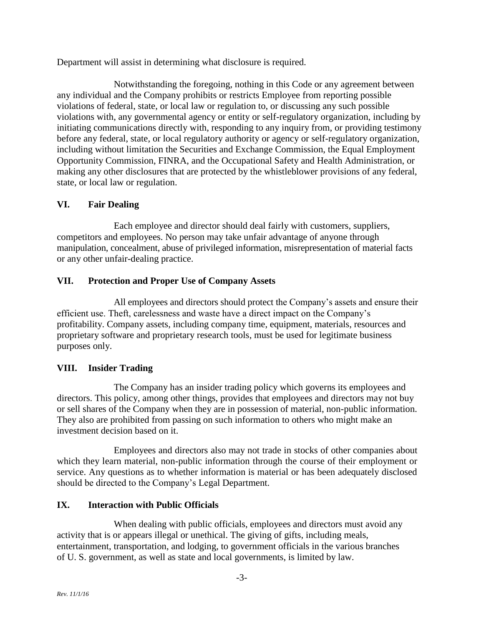Department will assist in determining what disclosure is required.

Notwithstanding the foregoing, nothing in this Code or any agreement between any individual and the Company prohibits or restricts Employee from reporting possible violations of federal, state, or local law or regulation to, or discussing any such possible violations with, any governmental agency or entity or self-regulatory organization, including by initiating communications directly with, responding to any inquiry from, or providing testimony before any federal, state, or local regulatory authority or agency or self-regulatory organization, including without limitation the Securities and Exchange Commission, the Equal Employment Opportunity Commission, FINRA, and the Occupational Safety and Health Administration, or making any other disclosures that are protected by the whistleblower provisions of any federal, state, or local law or regulation.

## **VI. Fair Dealing**

Each employee and director should deal fairly with customers, suppliers, competitors and employees. No person may take unfair advantage of anyone through manipulation, concealment, abuse of privileged information, misrepresentation of material facts or any other unfair-dealing practice.

## **VII. Protection and Proper Use of Company Assets**

All employees and directors should protect the Company's assets and ensure their efficient use. Theft, carelessness and waste have a direct impact on the Company's profitability. Company assets, including company time, equipment, materials, resources and proprietary software and proprietary research tools, must be used for legitimate business purposes only.

## **VIII. Insider Trading**

The Company has an insider trading policy which governs its employees and directors. This policy, among other things, provides that employees and directors may not buy or sell shares of the Company when they are in possession of material, non-public information. They also are prohibited from passing on such information to others who might make an investment decision based on it.

Employees and directors also may not trade in stocks of other companies about which they learn material, non-public information through the course of their employment or service. Any questions as to whether information is material or has been adequately disclosed should be directed to the Company's Legal Department.

## **IX. Interaction with Public Officials**

When dealing with public officials, employees and directors must avoid any activity that is or appears illegal or unethical. The giving of gifts, including meals, entertainment, transportation, and lodging, to government officials in the various branches of U. S. government, as well as state and local governments, is limited by law.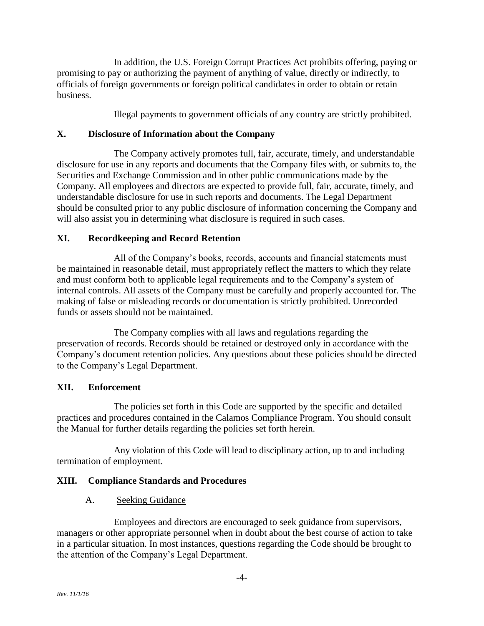In addition, the U.S. Foreign Corrupt Practices Act prohibits offering, paying or promising to pay or authorizing the payment of anything of value, directly or indirectly, to officials of foreign governments or foreign political candidates in order to obtain or retain business.

Illegal payments to government officials of any country are strictly prohibited.

## **X. Disclosure of Information about the Company**

The Company actively promotes full, fair, accurate, timely, and understandable disclosure for use in any reports and documents that the Company files with, or submits to, the Securities and Exchange Commission and in other public communications made by the Company. All employees and directors are expected to provide full, fair, accurate, timely, and understandable disclosure for use in such reports and documents. The Legal Department should be consulted prior to any public disclosure of information concerning the Company and will also assist you in determining what disclosure is required in such cases.

# **XI. Recordkeeping and Record Retention**

All of the Company's books, records, accounts and financial statements must be maintained in reasonable detail, must appropriately reflect the matters to which they relate and must conform both to applicable legal requirements and to the Company's system of internal controls. All assets of the Company must be carefully and properly accounted for. The making of false or misleading records or documentation is strictly prohibited. Unrecorded funds or assets should not be maintained.

The Company complies with all laws and regulations regarding the preservation of records. Records should be retained or destroyed only in accordance with the Company's document retention policies. Any questions about these policies should be directed to the Company's Legal Department.

## **XII. Enforcement**

The policies set forth in this Code are supported by the specific and detailed practices and procedures contained in the Calamos Compliance Program. You should consult the Manual for further details regarding the policies set forth herein.

Any violation of this Code will lead to disciplinary action, up to and including termination of employment.

# **XIII. Compliance Standards and Procedures**

# A. Seeking Guidance

Employees and directors are encouraged to seek guidance from supervisors, managers or other appropriate personnel when in doubt about the best course of action to take in a particular situation. In most instances, questions regarding the Code should be brought to the attention of the Company's Legal Department.